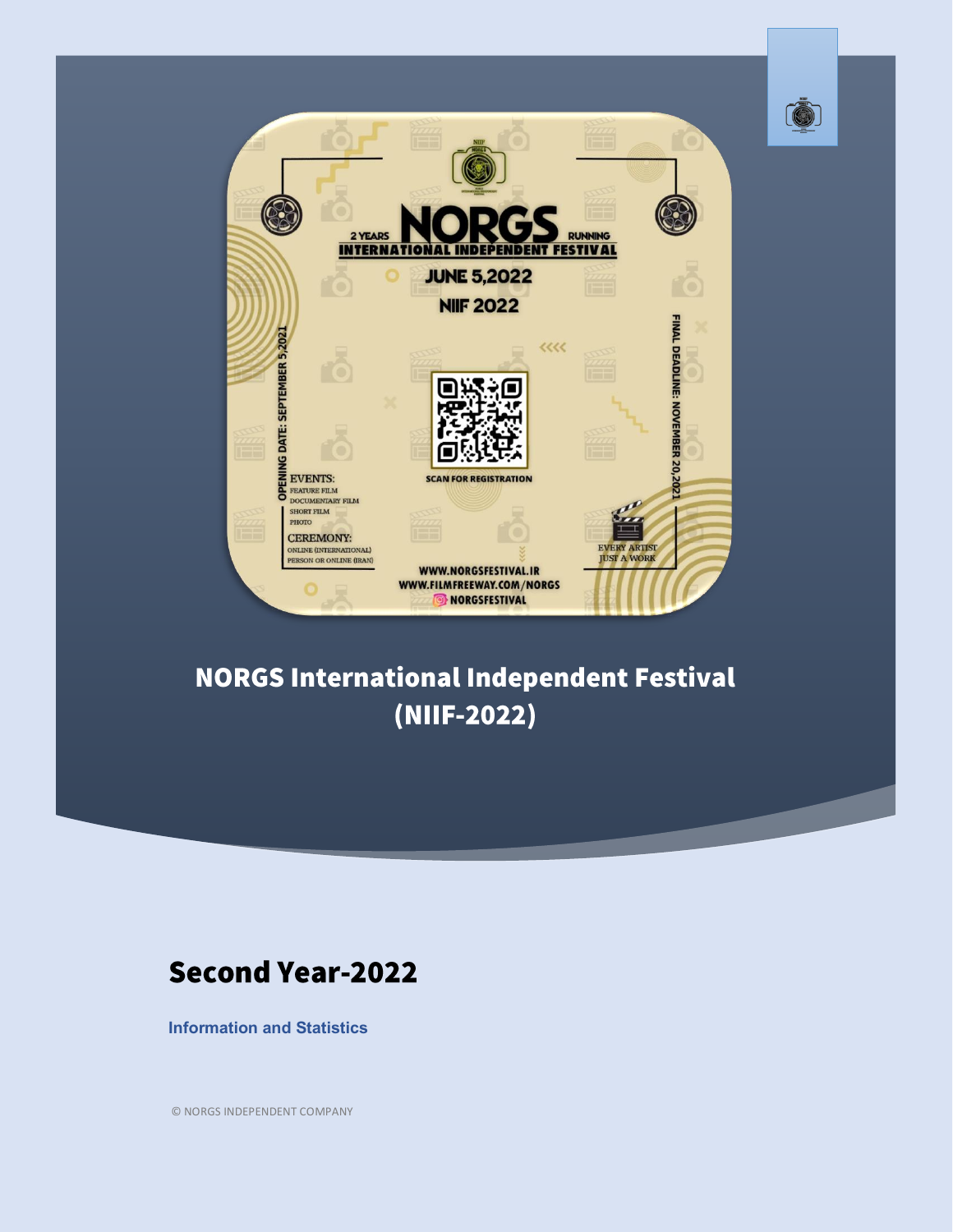



## **NORGS International Independent Festival** (NIIF-2022)

#### **Second Year-2022**

**Information and Statistics**

© NORGS INDEPENDENT COMPANY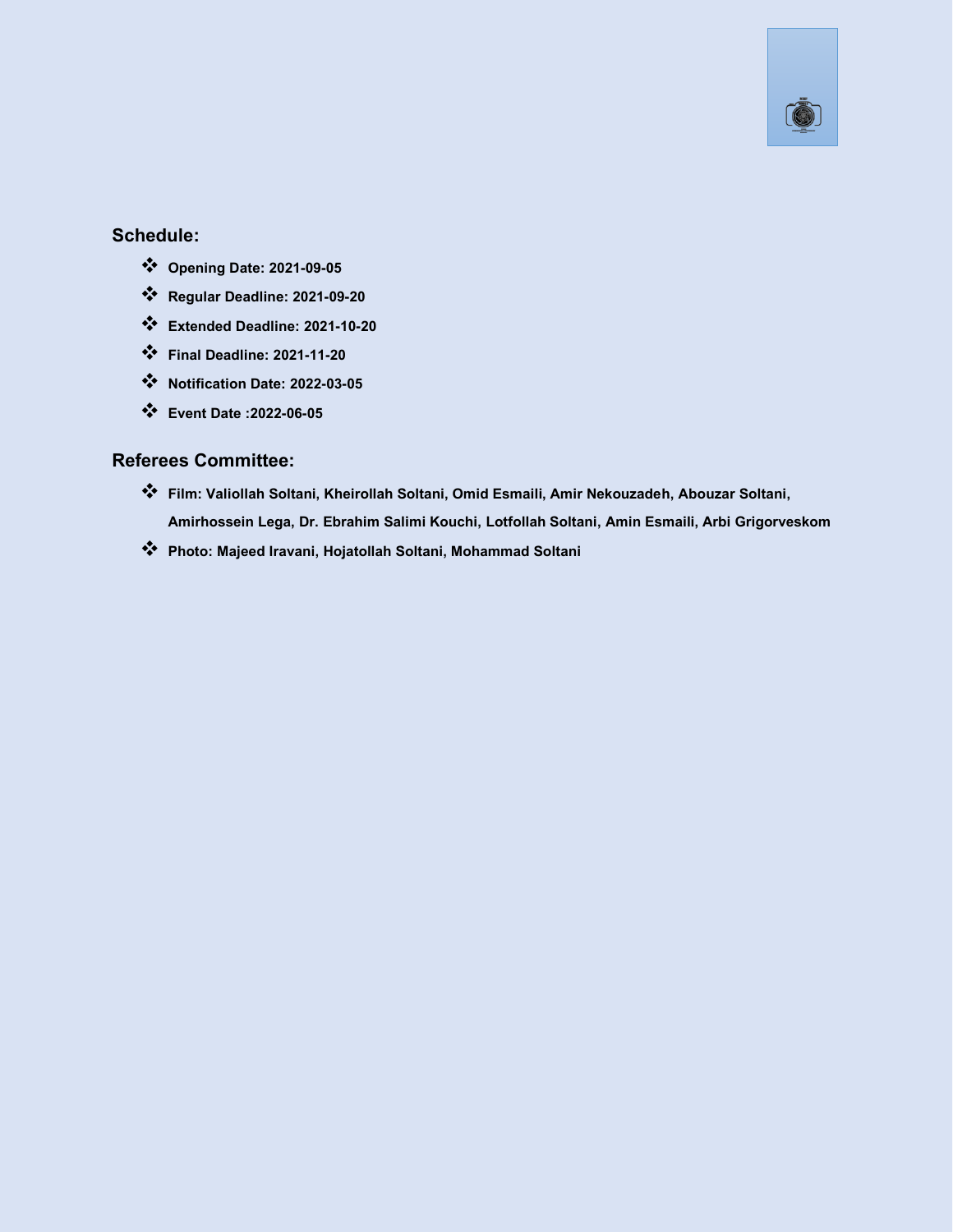

#### **Schedule:**

- ❖ **Opening Date: 2021-09-05**
- ❖ **Regular Deadline: 2021-09-20**
- ❖ **Extended Deadline: 2021-10-20**
- ❖ **Final Deadline: 2021-11-20**
- ❖ **Notification Date: 2022-03-05**
- ❖ **Event Date :2022-06-05**

#### **Referees Committee:**

- ❖ **Film: Valiollah Soltani, Kheirollah Soltani, Omid Esmaili, Amir Nekouzadeh, Abouzar Soltani, Amirhossein Lega, Dr. Ebrahim Salimi Kouchi, Lotfollah Soltani, Amin Esmaili, Arbi Grigorveskom**
- ❖ **Photo: Majeed Iravani, Hojatollah Soltani, Mohammad Soltani**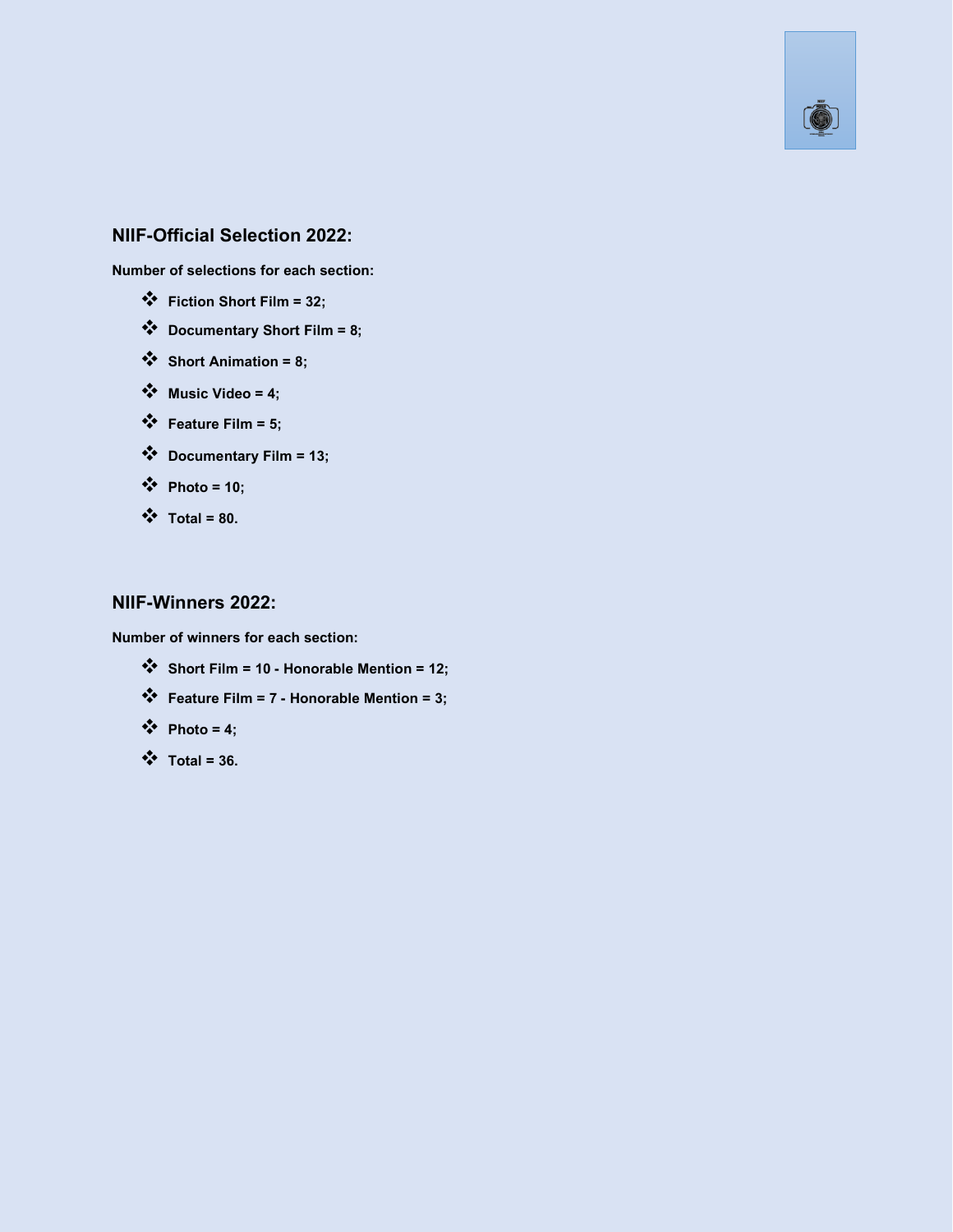

#### **NIIF-Official Selection 2022:**

**Number of selections for each section:**

- ❖ **Fiction ShortFilm = 32;**
- ❖ **Documentary Short Film = 8;**
- ❖ **Short Animation = 8;**
- ❖ **Music Video = 4;**
- ❖ **Feature Film = 5;**
- ❖ **Documentary Film = 13;**
- ❖ **Photo = 10;**
- $\mathbf{\hat{y}}$  **Total = 80.**

#### **NIIF-Winners 2022:**

**Number of winners for each section:**

- ❖ **Short Film = 10- Honorable Mention = 12;**
- ❖ **Feature Film = 7- Honorable Mention = 3;**
- $\bullet \bullet$  **Photo = 4;**
- ❖ **Total = 36.**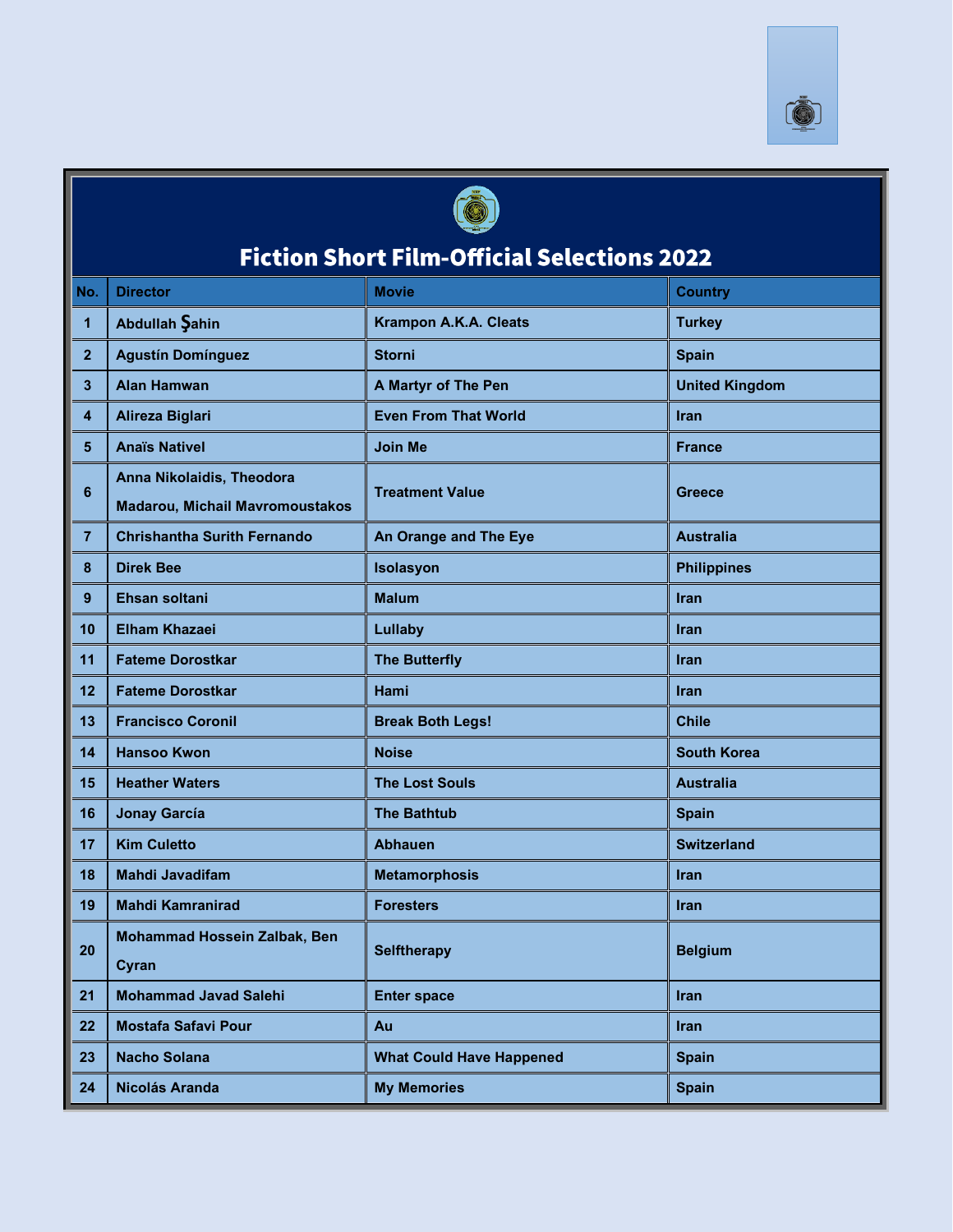



# **Fiction Short Film-Official Selections 2022**

| No.             | <b>Director</b>                                                     | <b>Movie</b>                    | <b>Country</b>        |
|-----------------|---------------------------------------------------------------------|---------------------------------|-----------------------|
| 1               | Abdullah Şahin                                                      | <b>Krampon A.K.A. Cleats</b>    | <b>Turkey</b>         |
| $\overline{2}$  | <b>Agustín Domínguez</b>                                            | <b>Storni</b>                   | <b>Spain</b>          |
| 3               | <b>Alan Hamwan</b>                                                  | <b>A Martyr of The Pen</b>      | <b>United Kingdom</b> |
| 4               | <b>Alireza Biglari</b>                                              | <b>Even From That World</b>     | <b>Iran</b>           |
| $5\phantom{.0}$ | <b>Anaïs Nativel</b>                                                | <b>Join Me</b>                  | <b>France</b>         |
| 6               | Anna Nikolaidis, Theodora<br><b>Madarou, Michail Mavromoustakos</b> | <b>Treatment Value</b>          | Greece                |
| $\overline{7}$  | <b>Chrishantha Surith Fernando</b>                                  | An Orange and The Eye           | <b>Australia</b>      |
| 8               | <b>Direk Bee</b>                                                    | Isolasyon                       | <b>Philippines</b>    |
| 9               | Ehsan soltani                                                       | <b>Malum</b>                    | <b>Iran</b>           |
| 10              | <b>Elham Khazaei</b>                                                | Lullaby                         | <b>Iran</b>           |
| 11              | <b>Fateme Dorostkar</b>                                             | <b>The Butterfly</b>            | <b>Iran</b>           |
| 12              | <b>Fateme Dorostkar</b>                                             | Hami                            | <b>Iran</b>           |
| 13              | <b>Francisco Coronil</b>                                            | <b>Break Both Legs!</b>         | <b>Chile</b>          |
| 14              | <b>Hansoo Kwon</b>                                                  | <b>Noise</b>                    | <b>South Korea</b>    |
| 15              | <b>Heather Waters</b>                                               | <b>The Lost Souls</b>           | <b>Australia</b>      |
| 16              | <b>Jonay García</b>                                                 | <b>The Bathtub</b>              | <b>Spain</b>          |
| 17              | <b>Kim Culetto</b>                                                  | <b>Abhauen</b>                  | <b>Switzerland</b>    |
| 18              | <b>Mahdi Javadifam</b>                                              | <b>Metamorphosis</b>            | Iran                  |
| 19              | <b>Mahdi Kamranirad</b>                                             | <b>Foresters</b>                | <b>Iran</b>           |
| 20              | Mohammad Hossein Zalbak, Ben<br>Cyran                               | <b>Selftherapy</b>              | <b>Belgium</b>        |
| 21              | <b>Mohammad Javad Salehi</b>                                        | <b>Enter space</b>              | Iran                  |
| 22              | <b>Mostafa Safavi Pour</b>                                          | Au                              | <b>Iran</b>           |
| 23              | <b>Nacho Solana</b>                                                 | <b>What Could Have Happened</b> | <b>Spain</b>          |
| 24              | Nicolás Aranda                                                      | <b>My Memories</b>              | <b>Spain</b>          |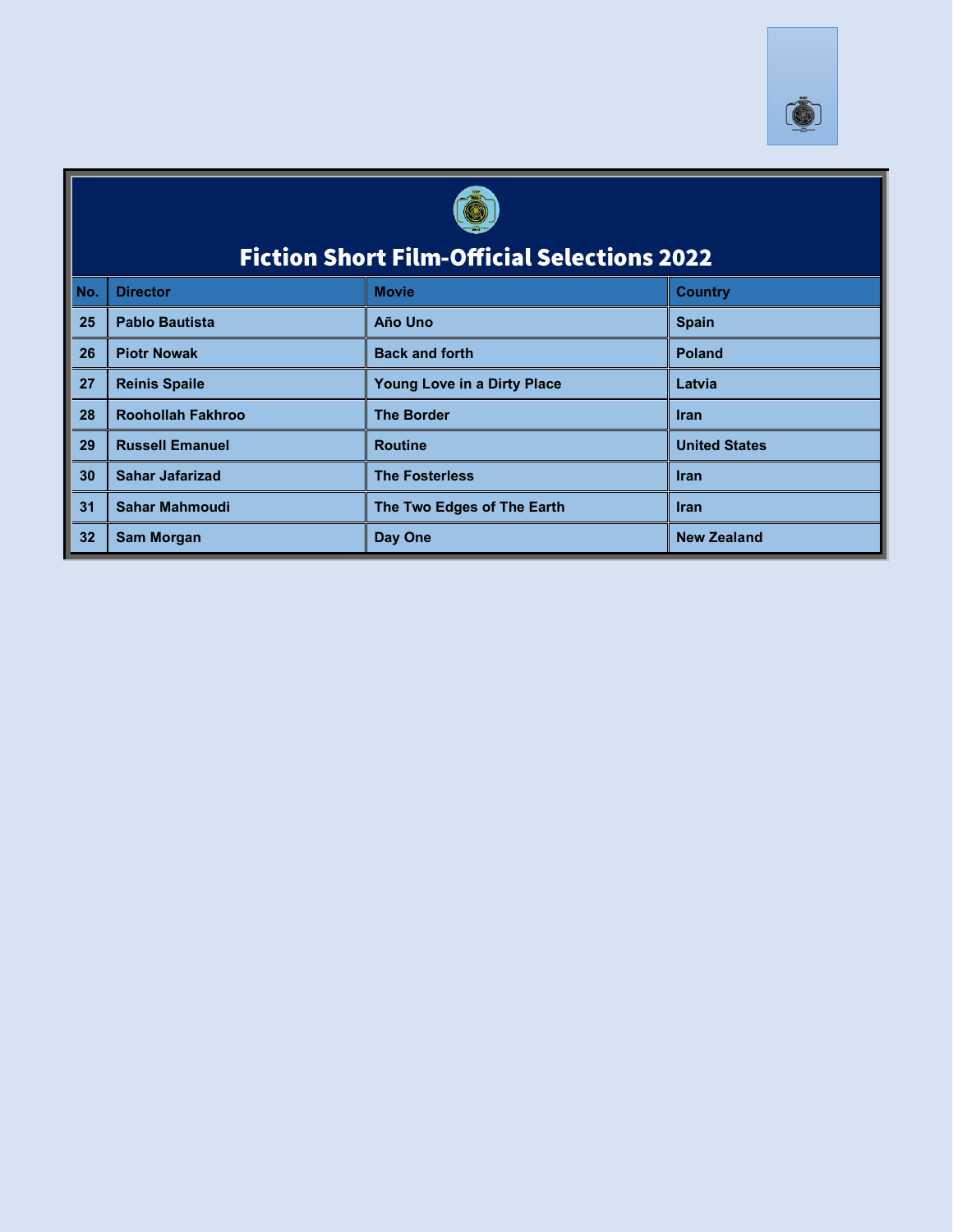



# **Fiction Short Film-Official Selections 2022**

| No. | <b>Director</b>          | <b>Movie</b>                       | <b>Country</b>       |
|-----|--------------------------|------------------------------------|----------------------|
| 25  | <b>Pablo Bautista</b>    | Año Uno                            | <b>Spain</b>         |
| 26  | <b>Piotr Nowak</b>       | <b>Back and forth</b>              | Poland               |
| 27  | <b>Reinis Spaile</b>     | <b>Young Love in a Dirty Place</b> | Latvia               |
| 28  | <b>Roohollah Fakhroo</b> | <b>The Border</b>                  | <b>Iran</b>          |
| 29  | <b>Russell Emanuel</b>   | <b>Routine</b>                     | <b>United States</b> |
| 30  | <b>Sahar Jafarizad</b>   | <b>The Fosterless</b>              | <b>Iran</b>          |
| 31  | <b>Sahar Mahmoudi</b>    | The Two Edges of The Earth         | <b>Iran</b>          |
| 32  | <b>Sam Morgan</b>        | Day One                            | <b>New Zealand</b>   |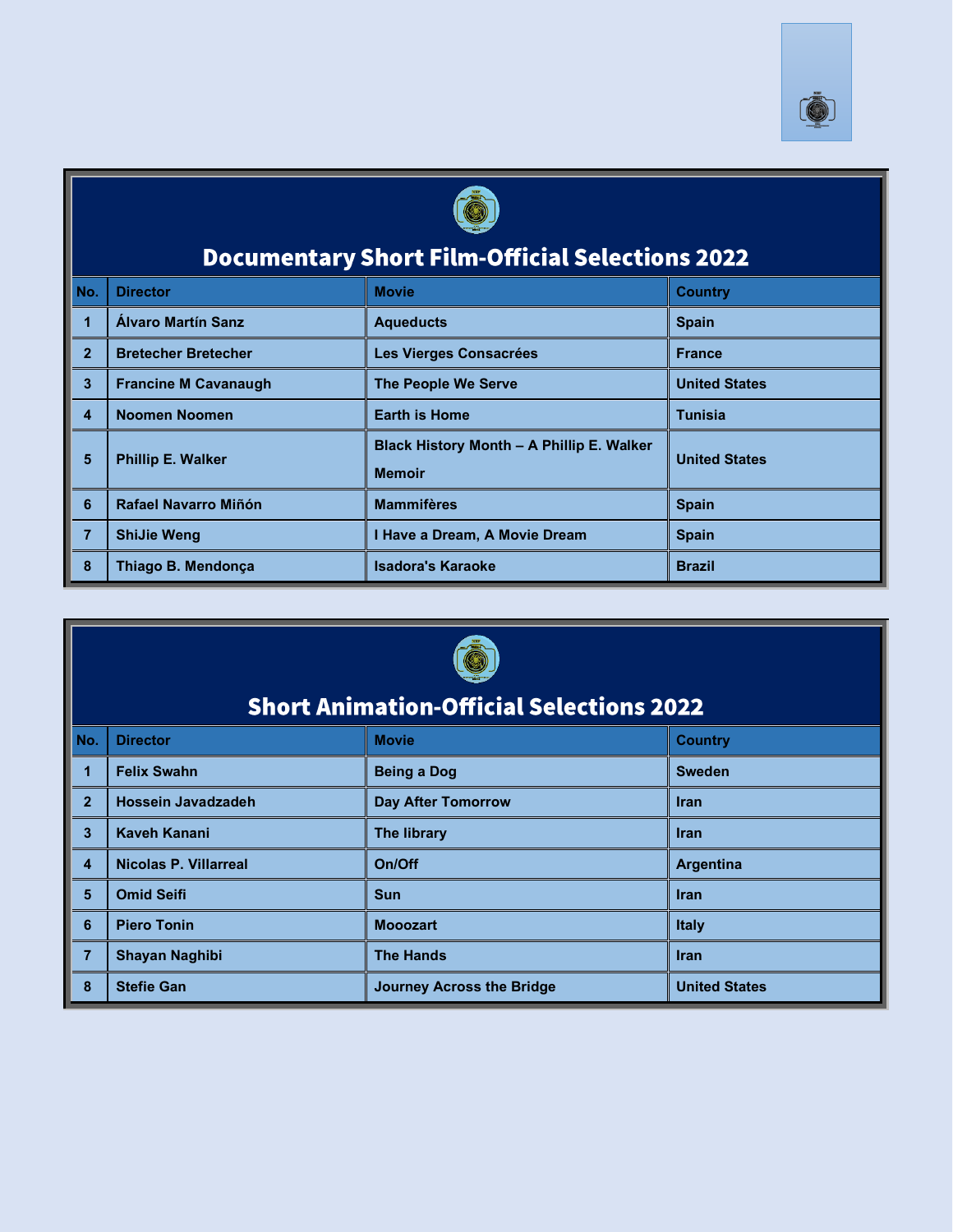



## **Documentary Short Film-Official Selections 2022**

| No.            | <b>Director</b>             | <b>Movie</b>                                               | <b>Country</b>       |
|----------------|-----------------------------|------------------------------------------------------------|----------------------|
|                | Álvaro Martín Sanz          | <b>Aqueducts</b>                                           | <b>Spain</b>         |
| $\overline{2}$ | <b>Bretecher Bretecher</b>  | Les Vierges Consacrées                                     | <b>France</b>        |
| 3              | <b>Francine M Cavanaugh</b> | <b>The People We Serve</b>                                 | <b>United States</b> |
| 4              | Noomen Noomen               | <b>Earth is Home</b>                                       | Tunisia              |
| 5              | <b>Phillip E. Walker</b>    | Black History Month - A Phillip E. Walker<br><b>Memoir</b> | <b>United States</b> |
| 6              | Rafael Navarro Miñón        | <b>Mammifères</b>                                          | <b>Spain</b>         |
| $\overline{7}$ | <b>ShiJie Weng</b>          | I Have a Dream, A Movie Dream                              | <b>Spain</b>         |
| 8              | Thiago B. Mendonca          | <b>Isadora's Karaoke</b>                                   | <b>Brazil</b>        |



## **Short Animation-Official Selections 2022**

| No.              | <b>Director</b>       | <b>Movie</b>              | <b>Country</b>       |
|------------------|-----------------------|---------------------------|----------------------|
| 1                | <b>Felix Swahn</b>    | <b>Being a Dog</b>        | <b>Sweden</b>        |
| $\overline{2}$   | Hossein Javadzadeh    | <b>Day After Tomorrow</b> | <b>Iran</b>          |
| 3                | <b>Kaveh Kanani</b>   | <b>The library</b>        | <b>Iran</b>          |
| $\boldsymbol{4}$ | Nicolas P. Villarreal | On/Off                    | <b>Argentina</b>     |
| 5                | <b>Omid Seifi</b>     | <b>Sun</b>                | <b>Iran</b>          |
| 6                | <b>Piero Tonin</b>    | <b>Mooozart</b>           | <b>Italy</b>         |
| $\overline{7}$   | Shayan Naghibi        | <b>The Hands</b>          | <b>Iran</b>          |
| 8                | <b>Stefie Gan</b>     | Journey Across the Bridge | <b>United States</b> |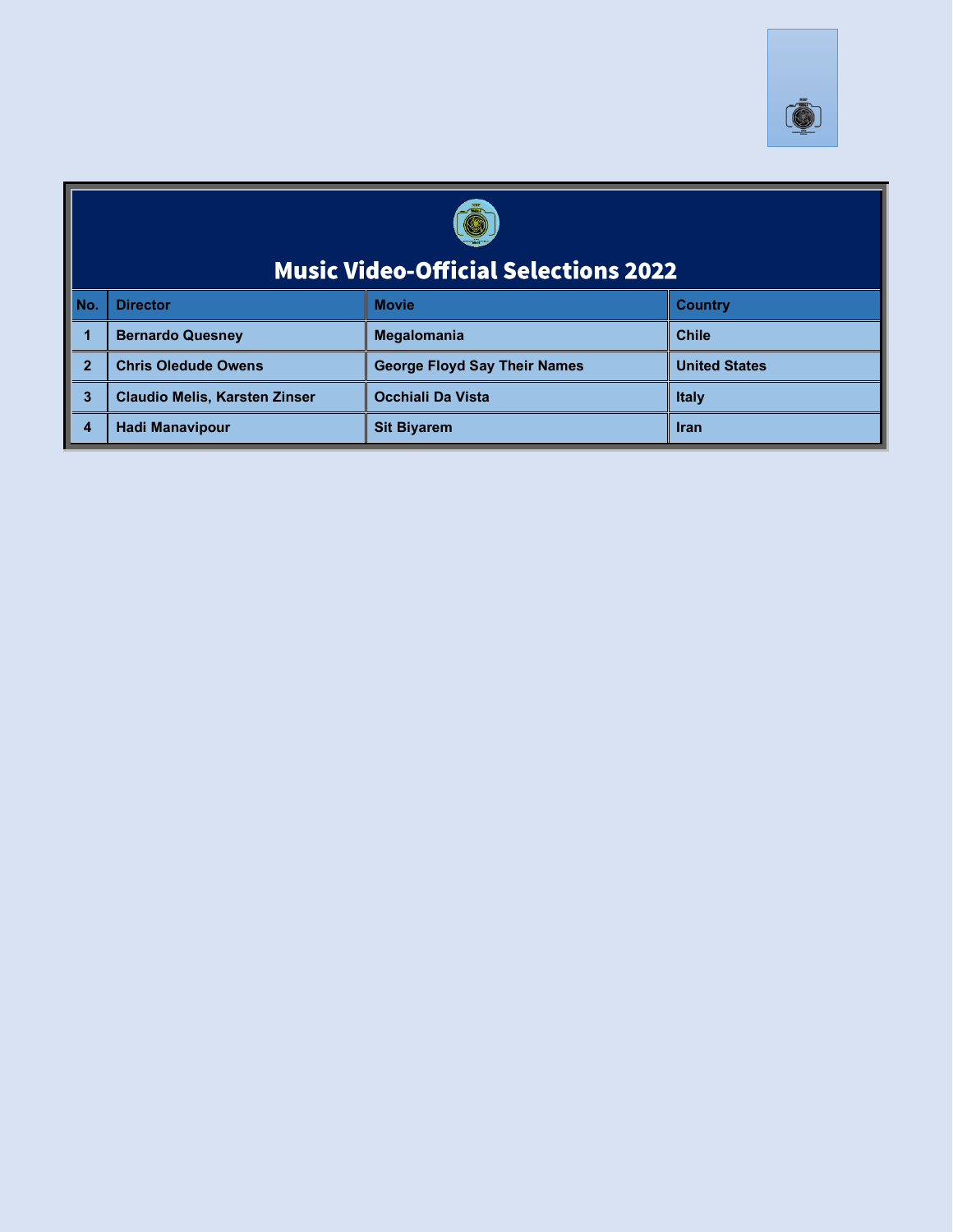



# Music Video-Official Selections 2022

| No. | <b>I</b> Director                    | <b>Movie</b>                        | <b>Country</b>       |
|-----|--------------------------------------|-------------------------------------|----------------------|
|     | <b>Bernardo Quesney</b>              | <b>Megalomania</b>                  | <b>Chile</b>         |
|     | <b>Chris Oledude Owens</b>           | <b>George Floyd Say Their Names</b> | <b>United States</b> |
|     | <b>Claudio Melis, Karsten Zinser</b> | Occhiali Da Vista                   | <b>Italy</b>         |
|     | <b>Hadi Manavipour</b>               | <b>Sit Biyarem</b>                  | <b>Iran</b>          |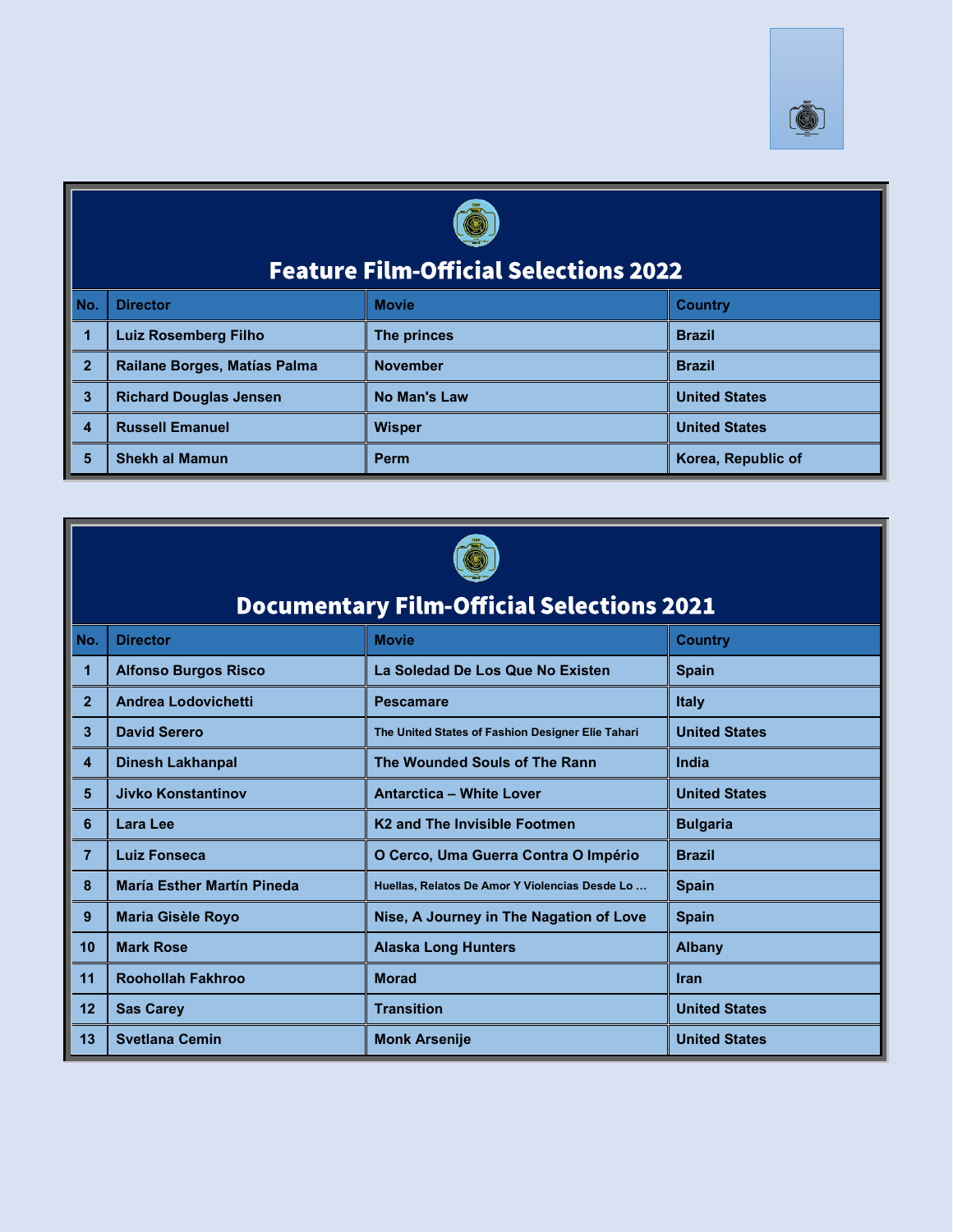



# **Feature Film-Official Selections 2022**

| No.          | <b>Director</b>               | <b>Movie</b>    | <b>Country</b>       |
|--------------|-------------------------------|-----------------|----------------------|
|              | <b>Luiz Rosemberg Filho</b>   | The princes     | <b>Brazil</b>        |
| $\mathbf{2}$ | Railane Borges, Matías Palma  | <b>November</b> | <b>Brazil</b>        |
| 3            | <b>Richard Douglas Jensen</b> | No Man's Law    | <b>United States</b> |
|              | <b>Russell Emanuel</b>        | <b>Wisper</b>   | <b>United States</b> |
|              | <b>Shekh al Mamun</b>         | Perm            | Korea, Republic of   |



|                      | another comment                                  |                                                   |                      |  |  |
|----------------------|--------------------------------------------------|---------------------------------------------------|----------------------|--|--|
|                      | <b>Documentary Film-Official Selections 2021</b> |                                                   |                      |  |  |
| No.                  | <b>Director</b>                                  | <b>Country</b>                                    |                      |  |  |
|                      | <b>Alfonso Burgos Risco</b>                      | La Soledad De Los Que No Existen                  | <b>Spain</b>         |  |  |
| $\overline{2}$       | <b>Andrea Lodovichetti</b>                       | <b>Pescamare</b>                                  | <b>Italy</b>         |  |  |
| $\mathbf{3}$         | <b>David Serero</b>                              | The United States of Fashion Designer Elie Tahari | <b>United States</b> |  |  |
| $\overline{4}$       | <b>Dinesh Lakhanpal</b>                          | The Wounded Souls of The Rann                     | India                |  |  |
| 5                    | <b>Jivko Konstantinov</b>                        | <b>Antarctica - White Lover</b>                   | <b>United States</b> |  |  |
| ı<br>$6\phantom{1}6$ | Lara Lee                                         | K <sub>2</sub> and The Invisible Footmen          | <b>Bulgaria</b>      |  |  |
| $\overline{7}$       | <b>Luiz Fonseca</b>                              | O Cerco, Uma Guerra Contra O Império              | <b>Brazil</b>        |  |  |
| 8                    | <b>María Esther Martín Pineda</b>                | Huellas, Relatos De Amor Y Violencias Desde Lo    | <b>Spain</b>         |  |  |
| 9                    | <b>Maria Gisèle Royo</b>                         | Nise, A Journey in The Nagation of Love           | <b>Spain</b>         |  |  |
| 10                   | <b>Mark Rose</b>                                 | <b>Alaska Long Hunters</b>                        | <b>Albany</b>        |  |  |
| 11                   | <b>Roohollah Fakhroo</b>                         | <b>Morad</b>                                      | <b>Iran</b>          |  |  |
| 12                   | <b>Sas Carey</b>                                 | <b>Transition</b>                                 | <b>United States</b> |  |  |
| 13                   | <b>Svetlana Cemin</b>                            | <b>Monk Arsenije</b>                              | <b>United States</b> |  |  |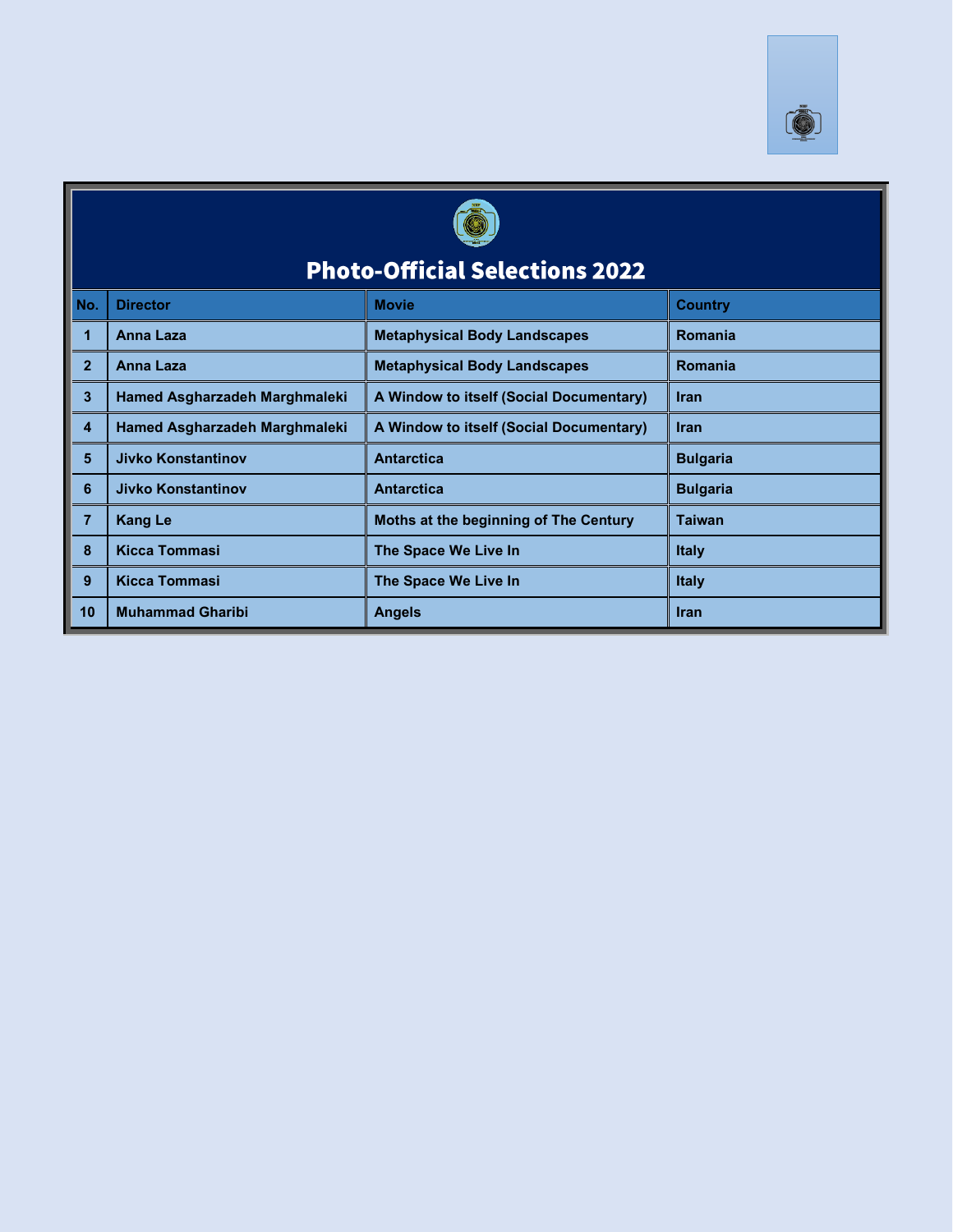



### **Photo-Official Selections 2022**

| No.            | <b>Director</b>               | <b>Movie</b>                            | <b>Country</b>  |
|----------------|-------------------------------|-----------------------------------------|-----------------|
|                | Anna Laza                     | <b>Metaphysical Body Landscapes</b>     | Romania         |
| $\overline{2}$ | <b>Anna Laza</b>              | <b>Metaphysical Body Landscapes</b>     | Romania         |
| 3              | Hamed Asgharzadeh Marghmaleki | A Window to itself (Social Documentary) | <b>Iran</b>     |
| 4              | Hamed Asgharzadeh Marghmaleki | A Window to itself (Social Documentary) | <b>Iran</b>     |
| 5              | <b>Jivko Konstantinov</b>     | <b>Antarctica</b>                       | <b>Bulgaria</b> |
| 6              | <b>Jivko Konstantinov</b>     | <b>Antarctica</b>                       | <b>Bulgaria</b> |
|                | <b>Kang Le</b>                | Moths at the beginning of The Century   | <b>Taiwan</b>   |
| 8              | Kicca Tommasi                 | The Space We Live In                    | <b>Italy</b>    |
| 9              | Kicca Tommasi                 | The Space We Live In                    | <b>Italy</b>    |
| 10             | <b>Muhammad Gharibi</b>       | <b>Angels</b>                           | <b>Iran</b>     |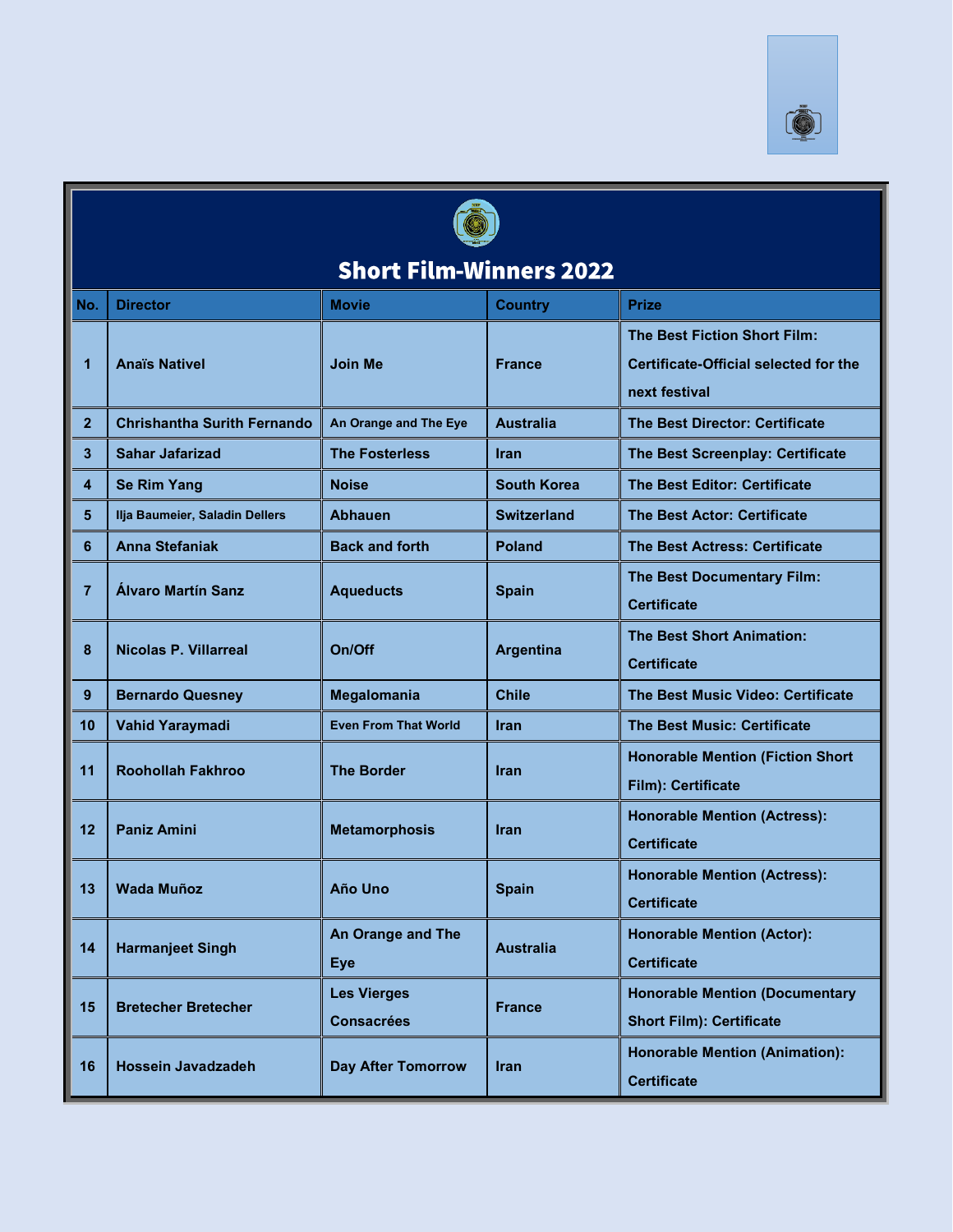



### **Short Film-Winners 2022**

| No.               | <b>Director</b>                    | <b>Movie</b>                            | <b>Country</b>     | <b>Prize</b>                                                                                         |  |
|-------------------|------------------------------------|-----------------------------------------|--------------------|------------------------------------------------------------------------------------------------------|--|
| 1                 | <b>Anaïs Nativel</b>               | <b>Join Me</b>                          | <b>France</b>      | <b>The Best Fiction Short Film:</b><br><b>Certificate-Official selected for the</b><br>next festival |  |
| $\overline{2}$    | <b>Chrishantha Surith Fernando</b> | An Orange and The Eye                   | <b>Australia</b>   | <b>The Best Director: Certificate</b>                                                                |  |
| 3                 | <b>Sahar Jafarizad</b>             | <b>The Fosterless</b>                   | <b>Iran</b>        | The Best Screenplay: Certificate                                                                     |  |
| 4                 | <b>Se Rim Yang</b>                 | <b>Noise</b>                            | South Korea        | The Best Editor: Certificate                                                                         |  |
| 5                 | Ilja Baumeier, Saladin Dellers     | <b>Abhauen</b>                          | <b>Switzerland</b> | <b>The Best Actor: Certificate</b>                                                                   |  |
| 6                 | <b>Anna Stefaniak</b>              | <b>Back and forth</b>                   | <b>Poland</b>      | <b>The Best Actress: Certificate</b>                                                                 |  |
| $\overline{7}$    | <b>Alvaro Martín Sanz</b>          | <b>Aqueducts</b>                        | <b>Spain</b>       | The Best Documentary Film:<br><b>Certificate</b>                                                     |  |
| 8                 | <b>Nicolas P. Villarreal</b>       | On/Off                                  | <b>Argentina</b>   | <b>The Best Short Animation:</b><br><b>Certificate</b>                                               |  |
| 9                 | <b>Bernardo Quesney</b>            | Megalomania                             | Chile              | The Best Music Video: Certificate                                                                    |  |
| 10                | <b>Vahid Yaraymadi</b>             | <b>Even From That World</b>             | Iran               | <b>The Best Music: Certificate</b>                                                                   |  |
| 11                | <b>Roohollah Fakhroo</b>           | <b>The Border</b>                       | Iran               | <b>Honorable Mention (Fiction Short</b> )<br>Film): Certificate                                      |  |
| $12 \overline{ }$ | <b>Paniz Amini</b>                 | <b>Metamorphosis</b>                    | <b>Iran</b>        | <b>Honorable Mention (Actress):</b><br><b>Certificate</b>                                            |  |
| 13                | <b>Wada Muñoz</b>                  | Año Uno                                 | <b>Spain</b>       | <b>Honorable Mention (Actress):</b><br><b>Certificate</b>                                            |  |
| 14                | <b>Harmanjeet Singh</b>            | <b>An Orange and The</b><br><b>Eye</b>  | <b>Australia</b>   | <b>Honorable Mention (Actor):</b><br><b>Certificate</b>                                              |  |
| 15                | <b>Bretecher Bretecher</b>         | <b>Les Vierges</b><br><b>Consacrées</b> | <b>France</b>      | <b>Honorable Mention (Documentary</b><br><b>Short Film): Certificate</b>                             |  |
| 16                | <b>Hossein Javadzadeh</b>          | <b>Day After Tomorrow</b>               | Iran               | <b>Honorable Mention (Animation):</b><br><b>Certificate</b>                                          |  |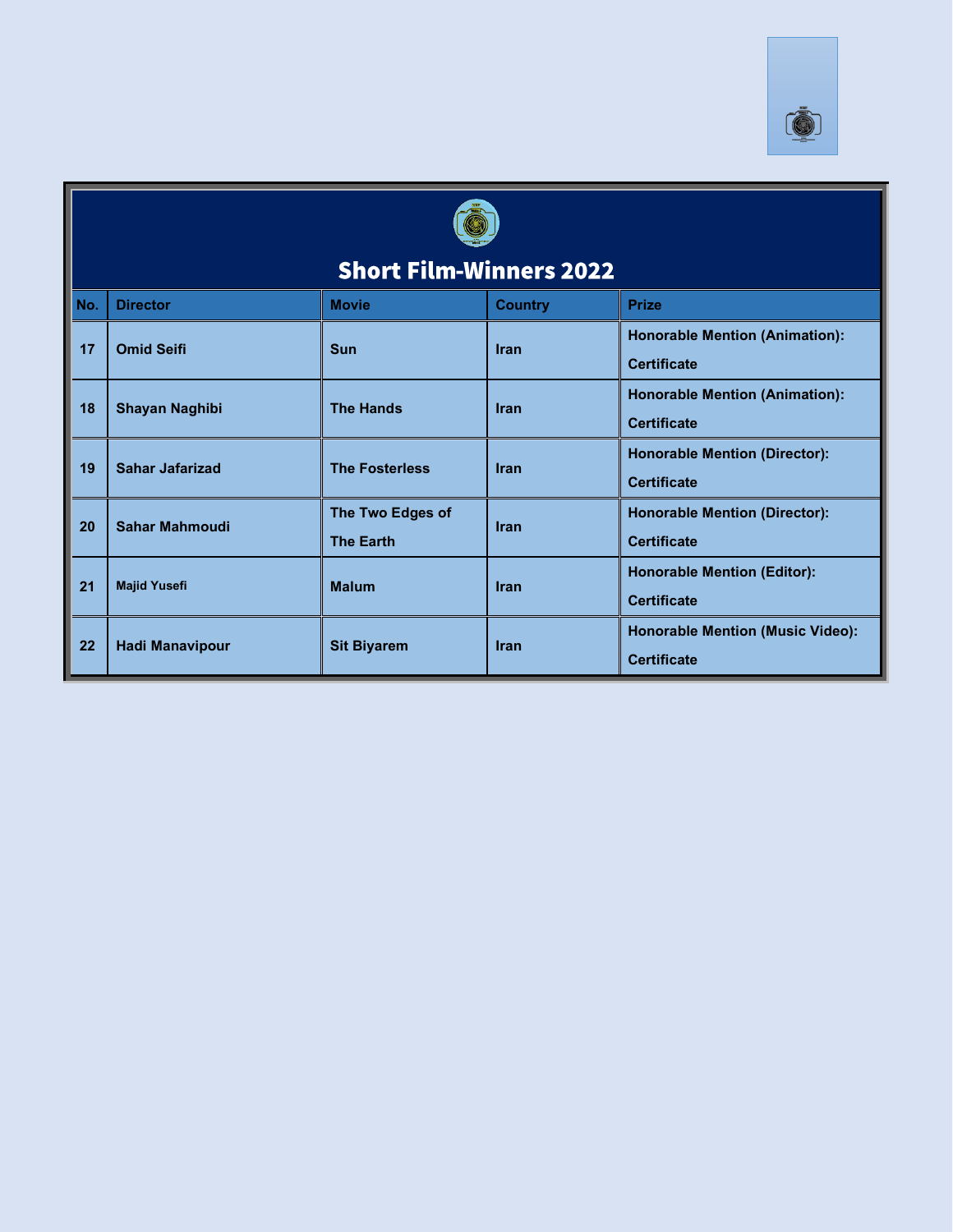



### **Short Film-Winners 2022**

|     | <u>IIVI 3 I ISIII TUIIIIISI 9 AVAA</u> |                                      |                |                                                               |  |
|-----|----------------------------------------|--------------------------------------|----------------|---------------------------------------------------------------|--|
| No. | <b>Director</b>                        | <b>Movie</b>                         | <b>Country</b> | <b>Prize</b>                                                  |  |
| 17  | <b>Omid Seifi</b>                      | <b>Sun</b>                           | <b>Iran</b>    | <b>Honorable Mention (Animation):</b><br><b>Certificate</b>   |  |
| 18  | <b>Shayan Naghibi</b>                  | <b>The Hands</b>                     | <b>Iran</b>    | <b>Honorable Mention (Animation):</b><br><b>Certificate</b>   |  |
| 19  | <b>Sahar Jafarizad</b>                 | <b>The Fosterless</b>                | <b>Iran</b>    | <b>Honorable Mention (Director):</b><br><b>Certificate</b>    |  |
| 20  | <b>Sahar Mahmoudi</b>                  | The Two Edges of<br><b>The Earth</b> | <b>Iran</b>    | <b>Honorable Mention (Director):</b><br><b>Certificate</b>    |  |
| 21  | <b>Majid Yusefi</b>                    | <b>Malum</b>                         | <b>Iran</b>    | <b>Honorable Mention (Editor):</b><br><b>Certificate</b>      |  |
| 22  | <b>Hadi Manavipour</b>                 | <b>Sit Biyarem</b>                   | <b>Iran</b>    | <b>Honorable Mention (Music Video):</b><br><b>Certificate</b> |  |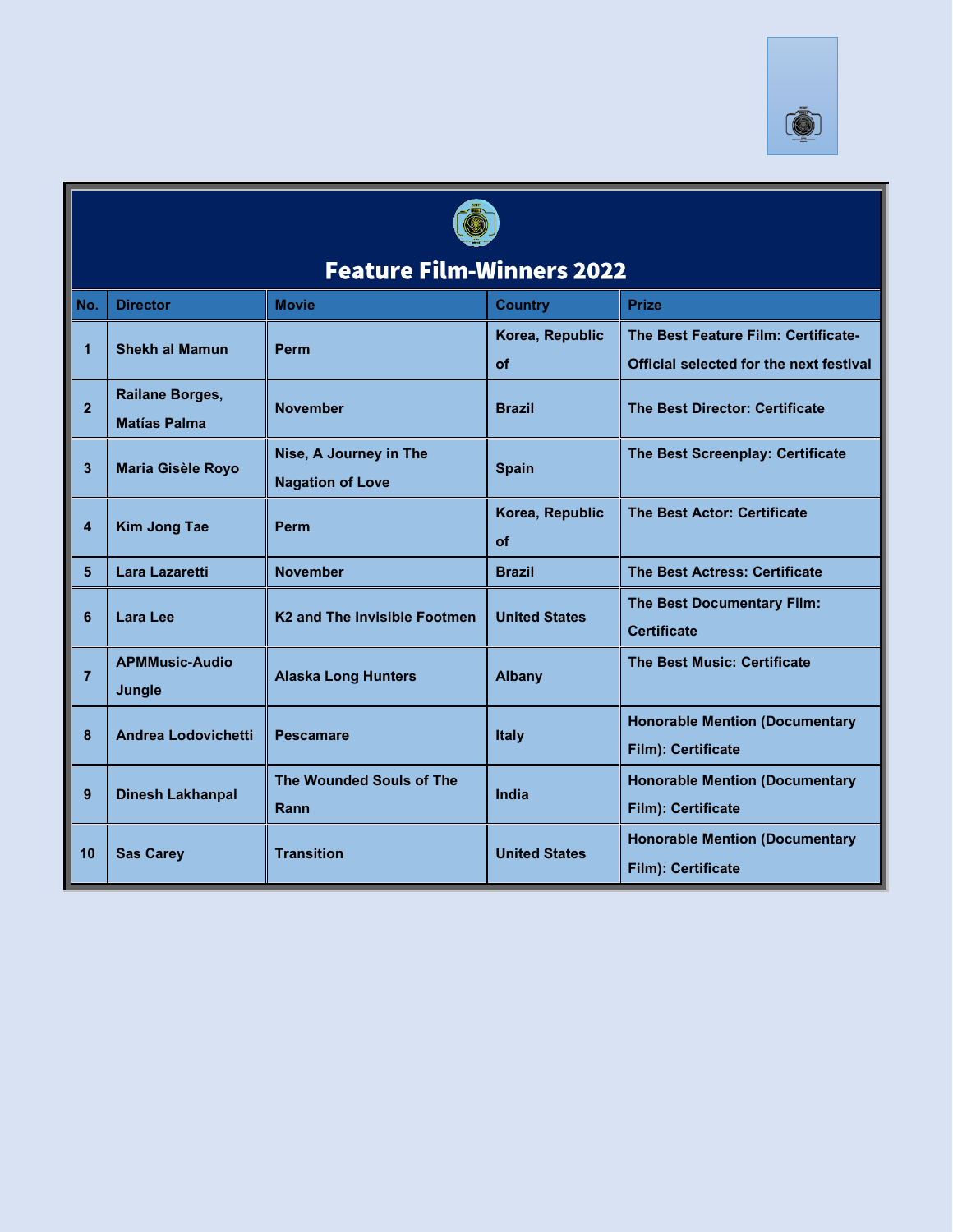



### **Feature Film-Winners 2022**

| No.            | <b>Director</b>                               | <b>Movie</b>                                      | <b>Country</b>        | <b>Prize</b>                                                                   |  |
|----------------|-----------------------------------------------|---------------------------------------------------|-----------------------|--------------------------------------------------------------------------------|--|
| $\mathbf{1}$   | <b>Shekh al Mamun</b>                         | <b>Perm</b>                                       | Korea, Republic<br>of | The Best Feature Film: Certificate-<br>Official selected for the next festival |  |
| $\overline{2}$ | <b>Railane Borges,</b><br><b>Matías Palma</b> | <b>November</b>                                   | <b>Brazil</b>         | <b>The Best Director: Certificate</b>                                          |  |
| 3              | <b>Maria Gisèle Royo</b>                      | Nise, A Journey in The<br><b>Nagation of Love</b> | <b>Spain</b>          | The Best Screenplay: Certificate                                               |  |
| 4              | <b>Kim Jong Tae</b>                           | <b>Perm</b>                                       | Korea, Republic<br>of | <b>The Best Actor: Certificate</b>                                             |  |
| 5 <sup>5</sup> | Lara Lazaretti                                | <b>November</b>                                   | <b>Brazil</b>         | <b>The Best Actress: Certificate</b>                                           |  |
| 6              | Lara Lee                                      | K <sub>2</sub> and The Invisible Footmen          | <b>United States</b>  | The Best Documentary Film:<br><b>Certificate</b>                               |  |
| $\overline{7}$ | <b>APMMusic-Audio</b><br>Jungle               | <b>Alaska Long Hunters</b>                        | <b>Albany</b>         | <b>The Best Music: Certificate</b>                                             |  |
| 8              | Andrea Lodovichetti                           | <b>Pescamare</b>                                  | <b>Italy</b>          | <b>Honorable Mention (Documentary</b><br>Film): Certificate                    |  |
| 9              | <b>Dinesh Lakhanpal</b>                       | <b>The Wounded Souls of The</b><br>Rann           | India                 | <b>Honorable Mention (Documentary</b><br>Film): Certificate                    |  |
| 10             | <b>Sas Carey</b>                              | <b>Transition</b>                                 | <b>United States</b>  | <b>Honorable Mention (Documentary</b><br>Film): Certificate                    |  |